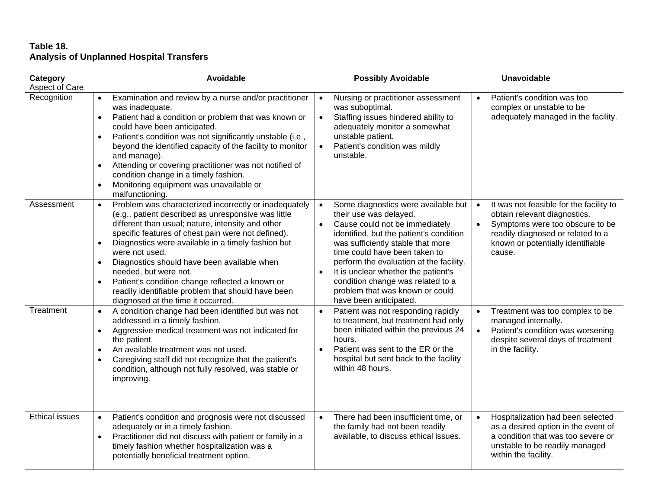## **Table 18. Analysis of Unplanned Hospital Transfers**

| Category<br>Aspect of Care | Avoidable                                                                                                                                                                                                                                                                                                                                                                                                                                                                                                                                                     | <b>Possibly Avoidable</b>                                                                                                                                                                                                                                                                                                                                                                                                                   | <b>Unavoidable</b>                                                                                                                                                                                                       |
|----------------------------|---------------------------------------------------------------------------------------------------------------------------------------------------------------------------------------------------------------------------------------------------------------------------------------------------------------------------------------------------------------------------------------------------------------------------------------------------------------------------------------------------------------------------------------------------------------|---------------------------------------------------------------------------------------------------------------------------------------------------------------------------------------------------------------------------------------------------------------------------------------------------------------------------------------------------------------------------------------------------------------------------------------------|--------------------------------------------------------------------------------------------------------------------------------------------------------------------------------------------------------------------------|
| Recognition                | Examination and review by a nurse and/or practitioner<br>$\bullet$<br>was inadequate.<br>Patient had a condition or problem that was known or<br>$\bullet$<br>could have been anticipated.<br>Patient's condition was not significantly unstable (i.e.,<br>$\bullet$<br>beyond the identified capacity of the facility to monitor<br>and manage).<br>Attending or covering practitioner was not notified of<br>$\bullet$<br>condition change in a timely fashion.<br>Monitoring equipment was unavailable or<br>$\bullet$<br>malfunctioning.                  | Nursing or practitioner assessment<br>$\bullet$<br>was suboptimal.<br>Staffing issues hindered ability to<br>$\bullet$<br>adequately monitor a somewhat<br>unstable patient.<br>Patient's condition was mildly<br>$\bullet$<br>unstable.                                                                                                                                                                                                    | Patient's condition was too<br>$\bullet$<br>complex or unstable to be<br>adequately managed in the facility.                                                                                                             |
| Assessment                 | Problem was characterized incorrectly or inadequately<br>$\bullet$<br>(e.g., patient described as unresponsive was little<br>different than usual; nature, intensity and other<br>specific features of chest pain were not defined).<br>Diagnostics were available in a timely fashion but<br>$\bullet$<br>were not used.<br>Diagnostics should have been available when<br>$\bullet$<br>needed, but were not.<br>Patient's condition change reflected a known or<br>readily identifiable problem that should have been<br>diagnosed at the time it occurred. | Some diagnostics were available but<br>$\bullet$<br>their use was delayed.<br>Cause could not be immediately<br>$\bullet$<br>identified, but the patient's condition<br>was sufficiently stable that more<br>time could have been taken to<br>perform the evaluation at the facility.<br>It is unclear whether the patient's<br>$\bullet$<br>condition change was related to a<br>problem that was known or could<br>have been anticipated. | It was not feasible for the facility to<br>$\bullet$<br>obtain relevant diagnostics.<br>Symptoms were too obscure to be<br>$\bullet$<br>readily diagnosed or related to a<br>known or potentially identifiable<br>cause. |
| Treatment                  | A condition change had been identified but was not<br>$\bullet$<br>addressed in a timely fashion.<br>Aggressive medical treatment was not indicated for<br>$\bullet$<br>the patient.<br>An available treatment was not used.<br>$\bullet$<br>Caregiving staff did not recognize that the patient's<br>$\bullet$<br>condition, although not fully resolved, was stable or<br>improving.                                                                                                                                                                        | Patient was not responding rapidly<br>$\bullet$<br>to treatment, but treatment had only<br>been initiated within the previous 24<br>hours.<br>Patient was sent to the ER or the<br>$\bullet$<br>hospital but sent back to the facility<br>within 48 hours.                                                                                                                                                                                  | Treatment was too complex to be<br>$\bullet$<br>managed internally.<br>Patient's condition was worsening<br>$\bullet$<br>despite several days of treatment<br>in the facility.                                           |
| <b>Ethical issues</b>      | Patient's condition and prognosis were not discussed<br>adequately or in a timely fashion.<br>Practitioner did not discuss with patient or family in a<br>$\bullet$<br>timely fashion whether hospitalization was a<br>potentially beneficial treatment option.                                                                                                                                                                                                                                                                                               | There had been insufficient time, or<br>$\bullet$<br>the family had not been readily<br>available, to discuss ethical issues.                                                                                                                                                                                                                                                                                                               | Hospitalization had been selected<br>$\bullet$<br>as a desired option in the event of<br>a condition that was too severe or<br>unstable to be readily managed<br>within the facility.                                    |